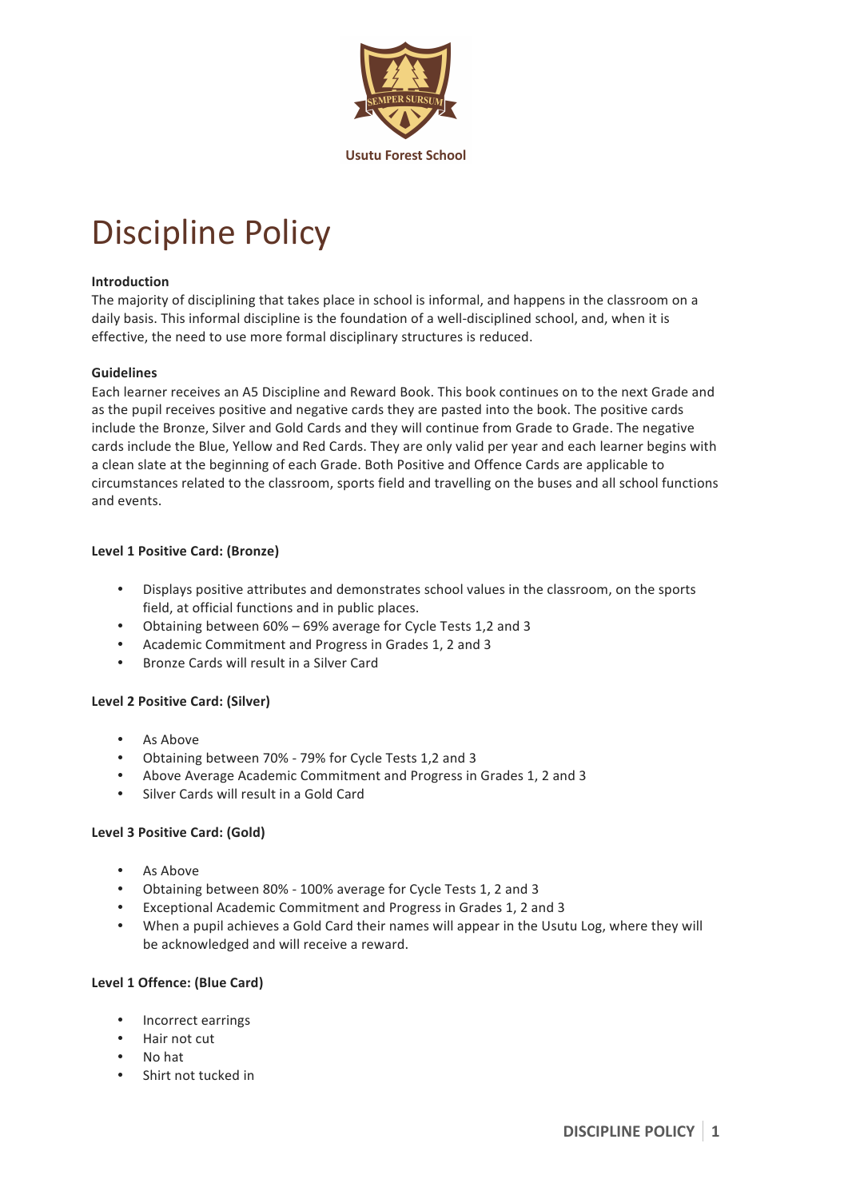

# Discipline Policy

#### **Introduction**

The majority of disciplining that takes place in school is informal, and happens in the classroom on a daily basis. This informal discipline is the foundation of a well-disciplined school, and, when it is effective, the need to use more formal disciplinary structures is reduced.

#### **Guidelines**

Each learner receives an A5 Discipline and Reward Book. This book continues on to the next Grade and as the pupil receives positive and negative cards they are pasted into the book. The positive cards include the Bronze, Silver and Gold Cards and they will continue from Grade to Grade. The negative cards include the Blue, Yellow and Red Cards. They are only valid per year and each learner begins with a clean slate at the beginning of each Grade. Both Positive and Offence Cards are applicable to circumstances related to the classroom, sports field and travelling on the buses and all school functions and events.

#### **Level 1 Positive Card: (Bronze)**

- Displays positive attributes and demonstrates school values in the classroom, on the sports field, at official functions and in public places.
- Obtaining between 60% 69% average for Cycle Tests 1,2 and 3
- Academic Commitment and Progress in Grades 1, 2 and 3
- Bronze Cards will result in a Silver Card

#### **Level 2 Positive Card: (Silver)**

- As Above
- Obtaining between 70% 79% for Cycle Tests 1,2 and 3
- Above Average Academic Commitment and Progress in Grades 1, 2 and 3
- Silver Cards will result in a Gold Card

# **Level 3 Positive Card: (Gold)**

- As Above
- Obtaining between 80% 100% average for Cycle Tests 1, 2 and 3
- Exceptional Academic Commitment and Progress in Grades 1, 2 and 3
- When a pupil achieves a Gold Card their names will appear in the Usutu Log, where they will be acknowledged and will receive a reward.

# **Level 1 Offence: (Blue Card)**

- Incorrect earrings
- Hair not cut
- No hat
- Shirt not tucked in